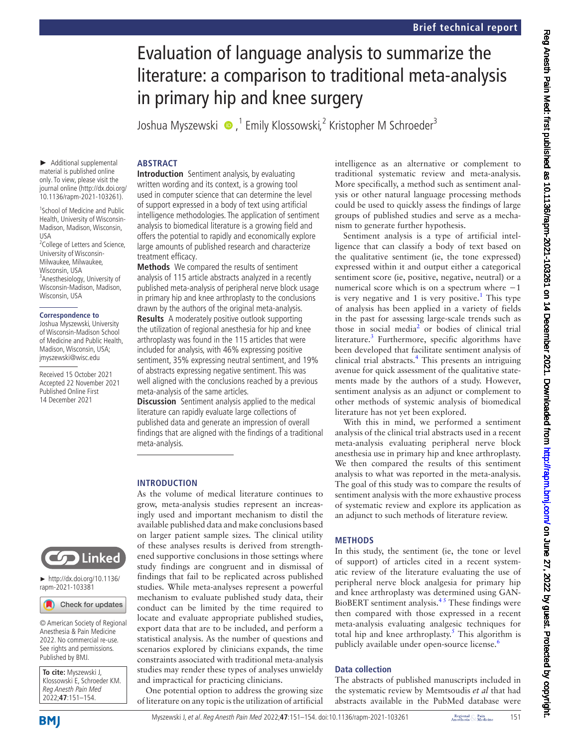# Evaluation of language analysis to summarize the literature: a comparison to traditional meta-analysis in primary hip and knee surgery

Joshua Myszewski  $\bullet$  ,<sup>1</sup> Emily Klossowski,<sup>2</sup> Kristopher M Schroeder<sup>3</sup>

# **ABSTRACT**

► Additional supplemental material is published online only. To view, please visit the journal online ([http://dx.doi.org/](http://dx.doi.org/10.1136/rapm-2021-103261) [10.1136/rapm-2021-103261\)](http://dx.doi.org/10.1136/rapm-2021-103261).

1 School of Medicine and Public Health, University of Wisconsin-Madison, Madison, Wisconsin, USA

<sup>2</sup>College of Letters and Science, University of Wisconsin-Milwaukee, Milwaukee, Wisconsin, USA 3 Anesthesiology, University of Wisconsin-Madison, Madison, Wisconsin, USA

#### **Correspondence to**

Joshua Myszewski, University of Wisconsin-Madison School of Medicine and Public Health, Madison, Wisconsin, USA; jmyszewski@wisc.edu

Received 15 October 2021 Accepted 22 November 2021 Published Online First 14 December 2021

**Introduction** Sentiment analysis, by evaluating written wording and its context, is a growing tool used in computer science that can determine the level of support expressed in a body of text using artificial intelligence methodologies. The application of sentiment analysis to biomedical literature is a growing field and offers the potential to rapidly and economically explore large amounts of published research and characterize treatment efficacy.

**Methods** We compared the results of sentiment analysis of 115 article abstracts analyzed in a recently published meta-analysis of peripheral nerve block usage in primary hip and knee arthroplasty to the conclusions drawn by the authors of the original meta-analysis. **Results** A moderately positive outlook supporting the utilization of regional anesthesia for hip and knee arthroplasty was found in the 115 articles that were included for analysis, with 46% expressing positive sentiment, 35% expressing neutral sentiment, and 19% of abstracts expressing negative sentiment. This was

well aligned with the conclusions reached by a previous meta-analysis of the same articles.

**Discussion** Sentiment analysis applied to the medical literature can rapidly evaluate large collections of published data and generate an impression of overall findings that are aligned with the findings of a traditional meta-analysis.

### **INTRODUCTION**

As the volume of medical literature continues to grow, meta-analysis studies represent an increasingly used and important mechanism to distil the available published data and make conclusions based on larger patient sample sizes. The clinical utility of these analyses results is derived from strengthened supportive conclusions in those settings where study findings are congruent and in dismissal of findings that fail to be replicated across published studies. While meta-analyses represent a powerful mechanism to evaluate published study data, their conduct can be limited by the time required to locate and evaluate appropriate published studies, export data that are to be included, and perform a statistical analysis. As the number of questions and scenarios explored by clinicians expands, the time constraints associated with traditional meta-analysis studies may render these types of analyses unwieldy and impractical for practicing clinicians.

One potential option to address the growing size of literature on any topic is the utilization of artificial intelligence as an alternative or complement to traditional systematic review and meta-analysis. More specifically, a method such as sentiment analysis or other natural language processing methods could be used to quickly assess the findings of large groups of published studies and serve as a mechanism to generate further hypothesis.

Sentiment analysis is a type of artificial intelligence that can classify a body of text based on the qualitative sentiment (ie, the tone expressed) expressed within it and output either a categorical sentiment score (ie, positive, negative, neutral) or a numerical score which is on a spectrum where  $-1$ is very negative and [1](#page-3-0) is very positive.<sup>1</sup> This type of analysis has been applied in a variety of fields in the past for assessing large-scale trends such as those in social media<sup>[2](#page-3-1)</sup> or bodies of clinical trial literature.<sup>[3](#page-3-2)</sup> Furthermore, specific algorithms have been developed that facilitate sentiment analysis of clinical trial abstracts.<sup>4</sup> This presents an intriguing avenue for quick assessment of the qualitative statements made by the authors of a study. However, sentiment analysis as an adjunct or complement to other methods of systemic analysis of biomedical literature has not yet been explored.

With this in mind, we performed a sentiment analysis of the clinical trial abstracts used in a recent meta-analysis evaluating peripheral nerve block anesthesia use in primary hip and knee arthroplasty. We then compared the results of this sentiment analysis to what was reported in the meta-analysis. The goal of this study was to compare the results of sentiment analysis with the more exhaustive process of systematic review and explore its application as an adjunct to such methods of literature review.

# **METHODS**

In this study, the sentiment (ie, the tone or level of support) of articles cited in a recent systematic review of the literature evaluating the use of peripheral nerve block analgesia for primary hip and knee arthroplasty was determined using GAN-BioBERT sentiment analysis.[4 5](#page-3-3) These findings were then compared with those expressed in a recent meta-analysis evaluating analgesic techniques for total hip and knee arthroplasty.<sup>[5](#page-3-4)</sup> This algorithm is publicly available under open-source license.<sup>[6](#page-3-5)</sup>

# **Data collection**

The abstracts of published manuscripts included in the systematic review by Memtsoudis *et al* that had abstracts available in the PubMed database were

**To cite:** Myszewski J, Klossowski E, Schroeder KM. Reg Anesth Pain Med 2022;**47**:151–154.

© American Society of Regional Anesthesia & Pain Medicine 2022. No commercial re-use. See rights and permissions. Published by BMJ.

Check for updates

► [http://dx.doi.org/10.1136/](http://dx.doi.org/10.1136/rapm-2021-103381) [rapm-2021-103381](http://dx.doi.org/10.1136/rapm-2021-103381)

**CO** Linked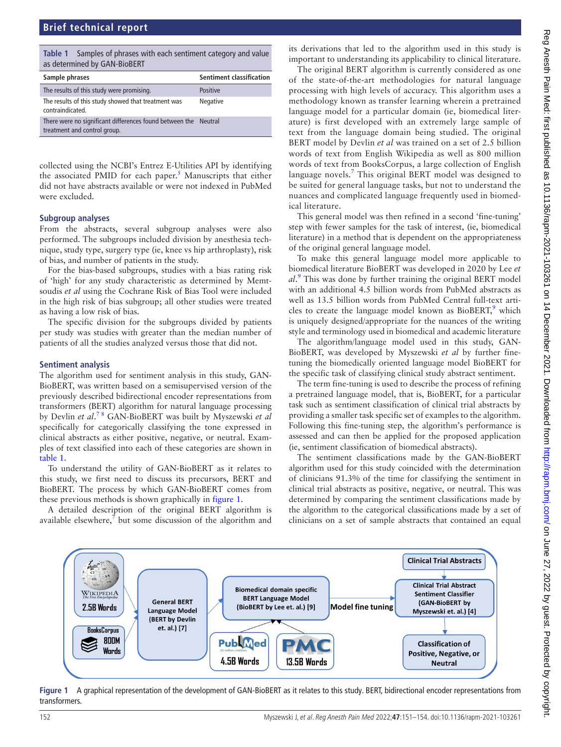# **Brief technical report**

<span id="page-1-0"></span>

| Table 1 Samples of phrases with each sentiment category and value |
|-------------------------------------------------------------------|
| as determined by GAN-BioBERT                                      |

| Sample phrases                                                                                  | <b>Sentiment classification</b> |
|-------------------------------------------------------------------------------------------------|---------------------------------|
| The results of this study were promising.                                                       | <b>Positive</b>                 |
| The results of this study showed that treatment was<br>contraindicated.                         | <b>Negative</b>                 |
| There were no significant differences found between the Neutral<br>treatment and control group. |                                 |

collected using the NCBI's Entrez E-Utilities API by identifying the associated PMID for each paper.<sup>[5](#page-3-4)</sup> Manuscripts that either did not have abstracts available or were not indexed in PubMed were excluded.

## **Subgroup analyses**

From the abstracts, several subgroup analyses were also performed. The subgroups included division by anesthesia technique, study type, surgery type (ie, knee vs hip arthroplasty), risk of bias, and number of patients in the study.

For the bias-based subgroups, studies with a bias rating risk of 'high' for any study characteristic as determined by Memtsoudis *et al* using the Cochrane Risk of Bias Tool were included in the high risk of bias subgroup; all other studies were treated as having a low risk of bias.

The specific division for the subgroups divided by patients per study was studies with greater than the median number of patients of all the studies analyzed versus those that did not.

#### **Sentiment analysis**

The algorithm used for sentiment analysis in this study, GAN-BioBERT, was written based on a semisupervised version of the previously described bidirectional encoder representations from transformers (BERT) algorithm for natural language processing by Devlin *et al*. [7 8](#page-3-6) GAN-BioBERT was built by Myszewski *et al* specifically for categorically classifying the tone expressed in clinical abstracts as either positive, negative, or neutral. Examples of text classified into each of these categories are shown in [table](#page-1-0) 1.

To understand the utility of GAN-BioBERT as it relates to this study, we first need to discuss its precursors, BERT and BioBERT. The process by which GAN-BioBERT comes from these previous methods is shown graphically in [figure](#page-1-1) 1.

A detailed description of the original BERT algorithm is available elsewhere,<sup>7</sup> but some discussion of the algorithm and

its derivations that led to the algorithm used in this study is important to understanding its applicability to clinical literature.

The original BERT algorithm is currently considered as one of the state-of-the-art methodologies for natural language processing with high levels of accuracy. This algorithm uses a methodology known as transfer learning wherein a pretrained language model for a particular domain (ie, biomedical literature) is first developed with an extremely large sample of text from the language domain being studied. The original BERT model by Devlin *et al* was trained on a set of 2.5 billion words of text from English Wikipedia as well as 800 million words of text from BooksCorpus, a large collection of English language novels.<sup>[7](#page-3-6)</sup> This original BERT model was designed to be suited for general language tasks, but not to understand the nuances and complicated language frequently used in biomedical literature.

This general model was then refined in a second 'fine-tuning' step with fewer samples for the task of interest, (ie, biomedical literature) in a method that is dependent on the appropriateness of the original general language model.

To make this general language model more applicable to biomedical literature BioBERT was developed in 2020 by Lee *et al*. [9](#page-3-7) This was done by further training the original BERT model with an additional 4.5 billion words from PubMed abstracts as well as 13.5 billion words from PubMed Central full-text articles to create the language model known as BioBERT, $9$  which is uniquely designed/appropriate for the nuances of the writing style and terminology used in biomedical and academic literature

The algorithm/language model used in this study, GAN-BioBERT, was developed by Myszewski *et al* by further finetuning the biomedically oriented language model BioBERT for the specific task of classifying clinical study abstract sentiment.

The term fine-tuning is used to describe the process of refining a pretrained language model, that is, BioBERT, for a particular task such as sentiment classification of clinical trial abstracts by providing a smaller task specific set of examples to the algorithm. Following this fine-tuning step, the algorithm's performance is assessed and can then be applied for the proposed application (ie, sentiment classification of biomedical abstracts).

The sentiment classifications made by the GAN-BioBERT algorithm used for this study coincided with the determination of clinicians 91.3% of the time for classifying the sentiment in clinical trial abstracts as positive, negative, or neutral. This was determined by comparing the sentiment classifications made by the algorithm to the categorical classifications made by a set of clinicians on a set of sample abstracts that contained an equal



<span id="page-1-1"></span>**Figure 1** A graphical representation of the development of GAN-BioBERT as it relates to this study. BERT, bidirectional encoder representations from transformers.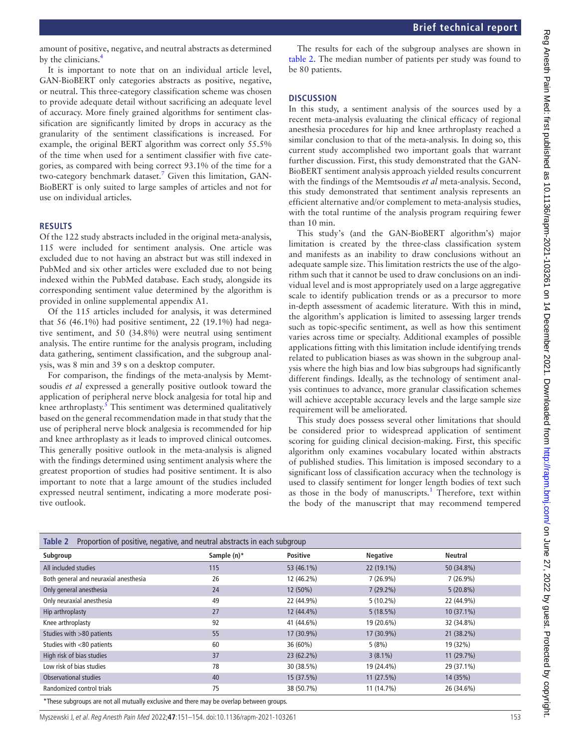amount of positive, negative, and neutral abstracts as determined by the clinicians[.4](#page-3-3)

It is important to note that on an individual article level, GAN-BioBERT only categories abstracts as positive, negative, or neutral. This three-category classification scheme was chosen to provide adequate detail without sacrificing an adequate level of accuracy. More finely grained algorithms for sentiment classification are significantly limited by drops in accuracy as the granularity of the sentiment classifications is increased. For example, the original BERT algorithm was correct only 55.5% of the time when used for a sentiment classifier with five categories, as compared with being correct 93.1% of the time for a two-category benchmark dataset.<sup>[7](#page-3-6)</sup> Given this limitation, GAN-BioBERT is only suited to large samples of articles and not for use on individual articles.

#### **RESULTS**

Of the 122 study abstracts included in the original meta-analysis, 115 were included for sentiment analysis. One article was excluded due to not having an abstract but was still indexed in PubMed and six other articles were excluded due to not being indexed within the PubMed database. Each study, alongside its corresponding sentiment value determined by the algorithm is provided in [online supplemental appendix A1.](https://dx.doi.org/10.1136/rapm-2021-103261)

Of the 115 articles included for analysis, it was determined that 56 (46.1%) had positive sentiment, 22 (19.1%) had negative sentiment, and 50 (34.8%) were neutral using sentiment analysis. The entire runtime for the analysis program, including data gathering, sentiment classification, and the subgroup analysis, was 8 min and 39 s on a desktop computer.

For comparison, the findings of the meta-analysis by Memtsoudis *et al* expressed a generally positive outlook toward the application of peripheral nerve block analgesia for total hip and knee arthroplasty.<sup>[5](#page-3-4)</sup> This sentiment was determined qualitatively based on the general recommendation made in that study that the use of peripheral nerve block analgesia is recommended for hip and knee arthroplasty as it leads to improved clinical outcomes. This generally positive outlook in the meta-analysis is aligned with the findings determined using sentiment analysis where the greatest proportion of studies had positive sentiment. It is also important to note that a large amount of the studies included expressed neutral sentiment, indicating a more moderate positive outlook.

The results for each of the subgroup analyses are shown in [table](#page-2-0) 2. The median number of patients per study was found to be 80 patients.

## **DISCUSSION**

In this study, a sentiment analysis of the sources used by a recent meta-analysis evaluating the clinical efficacy of regional anesthesia procedures for hip and knee arthroplasty reached a similar conclusion to that of the meta-analysis. In doing so, this current study accomplished two important goals that warrant further discussion. First, this study demonstrated that the GAN-BioBERT sentiment analysis approach yielded results concurrent with the findings of the Memtsoudis *et al* meta-analysis. Second, this study demonstrated that sentiment analysis represents an efficient alternative and/or complement to meta-analysis studies, with the total runtime of the analysis program requiring fewer than 10 min.

This study's (and the GAN-BioBERT algorithm's) major limitation is created by the three-class classification system and manifests as an inability to draw conclusions without an adequate sample size. This limitation restricts the use of the algorithm such that it cannot be used to draw conclusions on an individual level and is most appropriately used on a large aggregative scale to identify publication trends or as a precursor to more in-depth assessment of academic literature. With this in mind, the algorithm's application is limited to assessing larger trends such as topic-specific sentiment, as well as how this sentiment varies across time or specialty. Additional examples of possible applications fitting with this limitation include identifying trends related to publication biases as was shown in the subgroup analysis where the high bias and low bias subgroups had significantly different findings. Ideally, as the technology of sentiment analysis continues to advance, more granular classification schemes will achieve acceptable accuracy levels and the large sample size requirement will be ameliorated.

This study does possess several other limitations that should be considered prior to widespread application of sentiment scoring for guiding clinical decision-making. First, this specific algorithm only examines vocabulary located within abstracts of published studies. This limitation is imposed secondary to a significant loss of classification accuracy when the technology is used to classify sentiment for longer length bodies of text such as those in the body of manuscripts.<sup>[1](#page-3-0)</sup> Therefore, text within the body of the manuscript that may recommend tempered

<span id="page-2-0"></span>

| Table 2<br>Proportion of positive, negative, and neutral abstracts in each subgroup |             |                 |                 |              |  |  |  |  |  |  |  |  |
|-------------------------------------------------------------------------------------|-------------|-----------------|-----------------|--------------|--|--|--|--|--|--|--|--|
| Subgroup                                                                            | Sample (n)* | <b>Positive</b> | <b>Negative</b> | Neutral      |  |  |  |  |  |  |  |  |
| All included studies                                                                | 115         | 53 (46.1%)      | 22 (19.1%)      | 50 (34.8%)   |  |  |  |  |  |  |  |  |
| Both general and neuraxial anesthesia                                               | 26          | 12 (46.2%)      | $7(26.9\%)$     | $7(26.9\%)$  |  |  |  |  |  |  |  |  |
| Only general anesthesia                                                             | 24          | 12 (50%)        | $7(29.2\%)$     | $5(20.8\%)$  |  |  |  |  |  |  |  |  |
| Only neuraxial anesthesia                                                           | 49          | 22 (44.9%)      | $5(10.2\%)$     | 22 (44.9%)   |  |  |  |  |  |  |  |  |
| Hip arthroplasty                                                                    | 27          | 12 (44.4%)      | 5(18.5%)        | $10(37.1\%)$ |  |  |  |  |  |  |  |  |
| Knee arthroplasty                                                                   | 92          | 41 (44.6%)      | 19 (20.6%)      | 32 (34.8%)   |  |  |  |  |  |  |  |  |
| Studies with >80 patients                                                           | 55          | 17 (30.9%)      | 17 (30.9%)      | 21 (38.2%)   |  |  |  |  |  |  |  |  |
| Studies with <80 patients                                                           | 60          | 36 (60%)        | 5(8%)           | 19 (32%)     |  |  |  |  |  |  |  |  |
| High risk of bias studies                                                           | 37          | 23 (62.2%)      | $3(8.1\%)$      | 11(29.7%)    |  |  |  |  |  |  |  |  |
| Low risk of bias studies                                                            | 78          | 30 (38.5%)      | 19 (24.4%)      | 29 (37.1%)   |  |  |  |  |  |  |  |  |
| Observational studies                                                               | 40          | 15 (37.5%)      | 11(27.5%)       | 14 (35%)     |  |  |  |  |  |  |  |  |
| Randomized control trials                                                           | 75          | 38 (50.7%)      | 11 (14.7%)      | 26 (34.6%)   |  |  |  |  |  |  |  |  |

\*These subgroups are not all mutually exclusive and there may be overlap between groups.

Myszewski J, et al. Reg Anesth Pain Med 2022;**47**:151–154. doi:10.1136/rapm-2021-103261 153

Ξ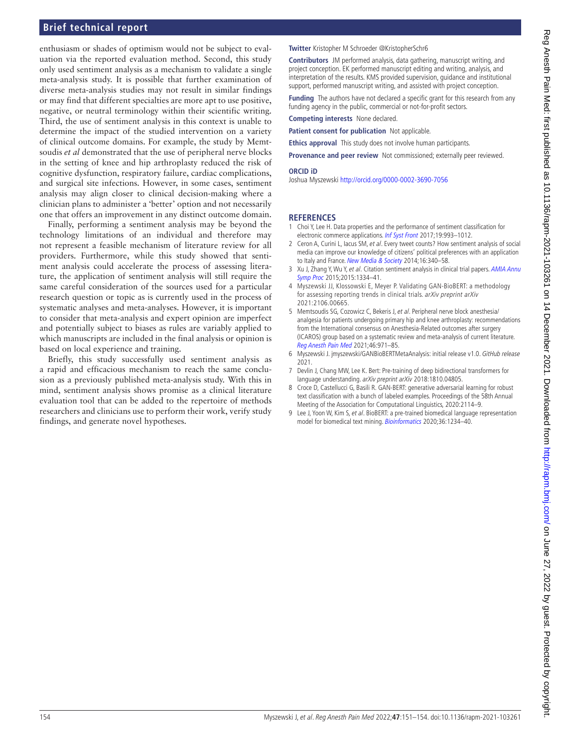# **Brief technical report**

enthusiasm or shades of optimism would not be subject to evaluation via the reported evaluation method. Second, this study only used sentiment analysis as a mechanism to validate a single meta-analysis study. It is possible that further examination of diverse meta-analysis studies may not result in similar findings or may find that different specialties are more apt to use positive, negative, or neutral terminology within their scientific writing. Third, the use of sentiment analysis in this context is unable to determine the impact of the studied intervention on a variety of clinical outcome domains. For example, the study by Memtsoudis *et al* demonstrated that the use of peripheral nerve blocks in the setting of knee and hip arthroplasty reduced the risk of cognitive dysfunction, respiratory failure, cardiac complications, and surgical site infections. However, in some cases, sentiment analysis may align closer to clinical decision-making where a clinician plans to administer a 'better' option and not necessarily one that offers an improvement in any distinct outcome domain.

Finally, performing a sentiment analysis may be beyond the technology limitations of an individual and therefore may not represent a feasible mechanism of literature review for all providers. Furthermore, while this study showed that sentiment analysis could accelerate the process of assessing literature, the application of sentiment analysis will still require the same careful consideration of the sources used for a particular research question or topic as is currently used in the process of systematic analyses and meta-analyses. However, it is important to consider that meta-analysis and expert opinion are imperfect and potentially subject to biases as rules are variably applied to which manuscripts are included in the final analysis or opinion is based on local experience and training.

Briefly, this study successfully used sentiment analysis as a rapid and efficacious mechanism to reach the same conclusion as a previously published meta-analysis study. With this in mind, sentiment analysis shows promise as a clinical literature evaluation tool that can be added to the repertoire of methods researchers and clinicians use to perform their work, verify study findings, and generate novel hypotheses.

#### **Twitter** Kristopher M Schroeder [@KristopherSchr6](https://twitter.com/KristopherSchr6)

**Contributors** JM performed analysis, data gathering, manuscript writing, and project conception. EK performed manuscript editing and writing, analysis, and interpretation of the results. KMS provided supervision, guidance and institutional support, performed manuscript writing, and assisted with project conception.

**Funding** The authors have not declared a specific grant for this research from any funding agency in the public, commercial or not-for-profit sectors.

**Competing interests** None declared.

**Patient consent for publication** Not applicable.

**Ethics approval** This study does not involve human participants.

**Provenance and peer review** Not commissioned; externally peer reviewed.

#### **ORCID iD**

Joshua Myszewski<http://orcid.org/0000-0002-3690-7056>

#### **REFERENCES**

- <span id="page-3-0"></span>1 Choi Y, Lee H. Data properties and the performance of sentiment classification for electronic commerce applications. [Inf Syst Front](http://dx.doi.org/10.1007/s10796-017-9741-7) 2017;19:993-1012.
- <span id="page-3-1"></span>2 Ceron A, Curini L, Iacus SM, et al. Every tweet counts? How sentiment analysis of social media can improve our knowledge of citizens' political preferences with an application to Italy and France. [New Media & Society](http://dx.doi.org/10.1177/1461444813480466) 2014;16:340-58.
- <span id="page-3-2"></span>3 Xu J, Zhang Y, Wu Y, et al. Citation sentiment analysis in clinical trial papers. [AMIA Annu](http://www.ncbi.nlm.nih.gov/pubmed/26958274) [Symp Proc](http://www.ncbi.nlm.nih.gov/pubmed/26958274) 2015;2015:1334–41.
- <span id="page-3-3"></span>4 Myszewski JJ, Klossowski E, Meyer P. Validating GAN-BioBERT: a methodology for assessing reporting trends in clinical trials. arXiv preprint arXiv 2021:2106.00665.
- <span id="page-3-4"></span>5 Memtsoudis SG, Cozowicz C, Bekeris J, et al. Peripheral nerve block anesthesia/ analgesia for patients undergoing primary hip and knee arthroplasty: recommendations from the International consensus on Anesthesia-Related outcomes after surgery (ICAROS) group based on a systematic review and meta-analysis of current literature. [Reg Anesth Pain Med](http://dx.doi.org/10.1136/rapm-2021-102750) 2021;46:971–85.
- <span id="page-3-5"></span>6 Myszewski J. jmyszewski/GANBioBERTMetaAnalysis: initial release v1.0. GitHub release 2021.
- <span id="page-3-6"></span>7 Devlin J, Chang MW, Lee K. Bert: Pre-training of deep bidirectional transformers for language understanding. arXiv preprint arXiv 2018:1810.04805.
- 8 Croce D, Castellucci G, Basili R. GAN-BERT: generative adversarial learning for robust text classification with a bunch of labeled examples. Proceedings of the 58th Annual Meeting of the Association for Computational Linguistics, 2020:2114–9.
- <span id="page-3-7"></span>9 Lee J, Yoon W, Kim S, et al. BioBERT: a pre-trained biomedical language representation model for biomedical text mining. [Bioinformatics](http://dx.doi.org/10.1093/bioinformatics/btz682) 2020;36:1234-40.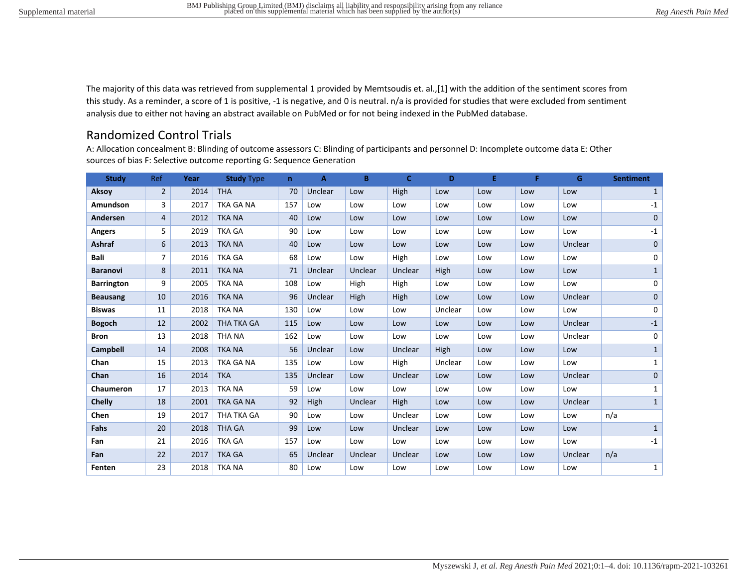The majority of this data was retrieved from supplemental 1 provided by Memtsoudis et. al.,[1] with the addition of the sentiment scores from this study. As a reminder, a score of 1 is positive, -1 is negative, and 0 is neutral. n/a is provided for studies that were excluded from sentiment analysis due to either not having an abstract available on PubMed or for not being indexed in the PubMed database.

# Randomized Control Trials

A: Allocation concealment B: Blinding of outcome assessors C: Blinding of participants and personnel D: Incomplete outcome data E: Other sources of bias F: Selective outcome reporting G: Sequence Generation

| <b>Study</b>      | Ref            | Year | <b>Study Type</b> | $\mathbf n$ | A       | B       | C.      | D       | E   | F   | G              | <b>Sentiment</b> |
|-------------------|----------------|------|-------------------|-------------|---------|---------|---------|---------|-----|-----|----------------|------------------|
| Aksoy             | $\overline{2}$ | 2014 | <b>THA</b>        | 70          | Unclear | Low     | High    | Low     | Low | Low | Low            | 1                |
| Amundson          | 3              | 2017 | <b>TKA GA NA</b>  | 157         | Low     | Low     | Low     | Low     | Low | Low | Low            | $-1$             |
| Andersen          | 4              | 2012 | <b>TKA NA</b>     | 40          | Low     | Low     | Low     | Low     | Low | Low | Low            | $\mathbf{0}$     |
| <b>Angers</b>     | 5              | 2019 | <b>TKA GA</b>     | 90          | Low     | Low     | Low     | Low     | Low | Low | Low            | $-1$             |
| Ashraf            | 6              | 2013 | <b>TKA NA</b>     | 40          | Low     | Low     | Low     | Low     | Low | Low | <b>Unclear</b> | $\mathbf 0$      |
| Bali              | $\overline{7}$ | 2016 | <b>TKA GA</b>     | 68          | Low     | Low     | High    | Low     | Low | Low | Low            | 0                |
| <b>Baranovi</b>   | 8              | 2011 | <b>TKA NA</b>     | 71          | Unclear | Unclear | Unclear | High    | Low | Low | Low            | $\mathbf{1}$     |
| <b>Barrington</b> | 9              | 2005 | <b>TKA NA</b>     | 108         | Low     | High    | High    | Low     | Low | Low | Low            | 0                |
| <b>Beausang</b>   | 10             | 2016 | <b>TKA NA</b>     | 96          | Unclear | High    | High    | Low     | Low | Low | Unclear        | $\mathbf 0$      |
| <b>Biswas</b>     | 11             | 2018 | <b>TKA NA</b>     | 130         | Low     | Low     | Low     | Unclear | Low | Low | Low            | 0                |
| <b>Bogoch</b>     | 12             | 2002 | <b>THA TKA GA</b> | 115         | Low     | Low     | Low     | Low     | Low | Low | <b>Unclear</b> | $-1$             |
| <b>Bron</b>       | 13             | 2018 | <b>THA NA</b>     | 162         | Low     | Low     | Low     | Low     | Low | Low | Unclear        | 0                |
| <b>Campbell</b>   | 14             | 2008 | <b>TKA NA</b>     | 56          | Unclear | Low     | Unclear | High    | Low | Low | Low            | $\mathbf{1}$     |
| Chan              | 15             | 2013 | TKA GA NA         | 135         | Low     | Low     | High    | Unclear | Low | Low | Low            | $\mathbf{1}$     |
| Chan              | 16             | 2014 | <b>TKA</b>        | 135         | Unclear | Low     | Unclear | Low     | Low | Low | <b>Unclear</b> | $\mathbf 0$      |
| Chaumeron         | 17             | 2013 | <b>TKA NA</b>     | 59          | Low     | Low     | Low     | Low     | Low | Low | Low            | $\mathbf{1}$     |
| <b>Chelly</b>     | 18             | 2001 | <b>TKA GA NA</b>  | 92          | High    | Unclear | High    | Low     | Low | Low | Unclear        | 1                |
| Chen              | 19             | 2017 | THA TKA GA        | 90          | Low     | Low     | Unclear | Low     | Low | Low | Low            | n/a              |
| Fahs              | 20             | 2018 | <b>THA GA</b>     | 99          | Low     | Low     | Unclear | Low     | Low | Low | Low            | 1                |
| Fan               | 21             | 2016 | <b>TKA GA</b>     | 157         | Low     | Low     | Low     | Low     | Low | Low | Low            | $-1$             |
| Fan               | 22             | 2017 | <b>TKA GA</b>     | 65          | Unclear | Unclear | Unclear | Low     | Low | Low | Unclear        | n/a              |
| Fenten            | 23             | 2018 | <b>TKA NA</b>     | 80          | Low     | Low     | Low     | Low     | Low | Low | Low            | $\mathbf{1}$     |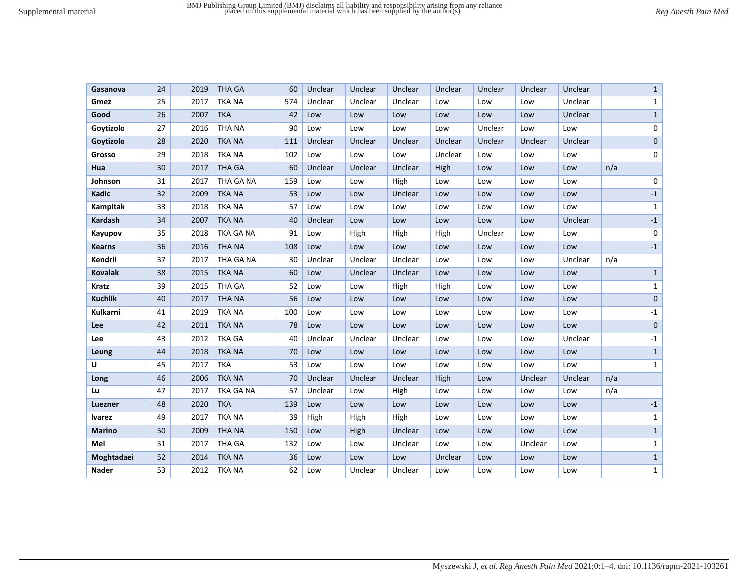| Gasanova       | 24 | 2019 | <b>THA GA</b> | 60  | Unclear | Unclear | Unclear | Unclear | Unclear | Unclear | Unclear |     | $\mathbf{1}$ |
|----------------|----|------|---------------|-----|---------|---------|---------|---------|---------|---------|---------|-----|--------------|
| Gmez           | 25 | 2017 | <b>TKA NA</b> | 574 | Unclear | Unclear | Unclear | Low     | Low     | Low     | Unclear |     | $\mathbf{1}$ |
| Good           | 26 | 2007 | <b>TKA</b>    | 42  | Low     | Low     | Low     | Low     | Low     | Low     | Unclear |     | $\mathbf 1$  |
| Goytizolo      | 27 | 2016 | THA NA        | 90  | Low     | Low     | Low     | Low     | Unclear | Low     | Low     |     | 0            |
| Goytizolo      | 28 | 2020 | <b>TKA NA</b> | 111 | Unclear | Unclear | Unclear | Unclear | Unclear | Unclear | Unclear |     | $\pmb{0}$    |
| Grosso         | 29 | 2018 | <b>TKA NA</b> | 102 | Low     | Low     | Low     | Unclear | Low     | Low     | Low     |     | 0            |
| Hua            | 30 | 2017 | <b>THA GA</b> | 60  | Unclear | Unclear | Unclear | High    | Low     | Low     | Low     | n/a |              |
| Johnson        | 31 | 2017 | THA GA NA     | 159 | Low     | Low     | High    | Low     | Low     | Low     | Low     |     | 0            |
| Kadic          | 32 | 2009 | <b>TKA NA</b> | 53  | Low     | Low     | Unclear | Low     | Low     | Low     | Low     |     | $-1$         |
| Kampitak       | 33 | 2018 | <b>TKA NA</b> | 57  | Low     | Low     | Low     | Low     | Low     | Low     | Low     |     | $\mathbf{1}$ |
| Kardash        | 34 | 2007 | <b>TKA NA</b> | 40  | Unclear | Low     | Low     | Low     | Low     | Low     | Unclear |     | $-1$         |
| Kayupov        | 35 | 2018 | TKA GA NA     | 91  | Low     | High    | High    | High    | Unclear | Low     | Low     |     | 0            |
| <b>Kearns</b>  | 36 | 2016 | <b>THANA</b>  | 108 | Low     | Low     | Low     | Low     | Low     | Low     | Low     |     | $-1$         |
| Kendrii        | 37 | 2017 | THA GA NA     | 30  | Unclear | Unclear | Unclear | Low     | Low     | Low     | Unclear | n/a |              |
| <b>Kovalak</b> | 38 | 2015 | <b>TKA NA</b> | 60  | Low     | Unclear | Unclear | Low     | Low     | Low     | Low     |     | $\mathbf{1}$ |
| <b>Kratz</b>   | 39 | 2015 | THA GA        | 52  | Low     | Low     | High    | High    | Low     | Low     | Low     |     | $\mathbf{1}$ |
| <b>Kuchlik</b> | 40 | 2017 | <b>THANA</b>  | 56  | Low     | Low     | Low     | Low     | Low     | Low     | Low     |     | $\mathbf 0$  |
| Kulkarni       | 41 | 2019 | <b>TKA NA</b> | 100 | Low     | Low     | Low     | Low     | Low     | Low     | Low     |     | $-1$         |
| Lee            | 42 | 2011 | <b>TKA NA</b> | 78  | Low     | Low     | Low     | Low     | Low     | Low     | Low     |     | $\mathbf 0$  |
| Lee            | 43 | 2012 | <b>TKA GA</b> | 40  | Unclear | Unclear | Unclear | Low     | Low     | Low     | Unclear |     | $-1$         |
| Leung          | 44 | 2018 | <b>TKA NA</b> | 70  | Low     | Low     | Low     | Low     | Low     | Low     | Low     |     | $\mathbf{1}$ |
| Li             | 45 | 2017 | <b>TKA</b>    | 53  | Low     | Low     | Low     | Low     | Low     | Low     | Low     |     | $\mathbf{1}$ |
| Long           | 46 | 2006 | <b>TKA NA</b> | 70  | Unclear | Unclear | Unclear | High    | Low     | Unclear | Unclear | n/a |              |
| Lu             | 47 | 2017 | TKA GA NA     | 57  | Unclear | Low     | High    | Low     | Low     | Low     | Low     | n/a |              |
| Luezner        | 48 | 2020 | <b>TKA</b>    | 139 | Low     | Low     | Low     | Low     | Low     | Low     | Low     |     | $^{\rm -1}$  |
| <b>lvarez</b>  | 49 | 2017 | <b>TKA NA</b> | 39  | High    | High    | High    | Low     | Low     | Low     | Low     |     | $\mathbf{1}$ |
| <b>Marino</b>  | 50 | 2009 | <b>THANA</b>  | 150 | Low     | High    | Unclear | Low     | Low     | Low     | Low     |     | $\mathbf{1}$ |
| Mei            | 51 | 2017 | <b>THA GA</b> | 132 | Low     | Low     | Unclear | Low     | Low     | Unclear | Low     |     | $\mathbf{1}$ |
| Moghtadaei     | 52 | 2014 | <b>TKA NA</b> | 36  | Low     | Low     | Low     | Unclear | Low     | Low     | Low     |     | $\mathbf{1}$ |
| <b>Nader</b>   | 53 | 2012 | <b>TKA NA</b> | 62  | Low     | Unclear | Unclear | Low     | Low     | Low     | Low     |     | $\mathbf{1}$ |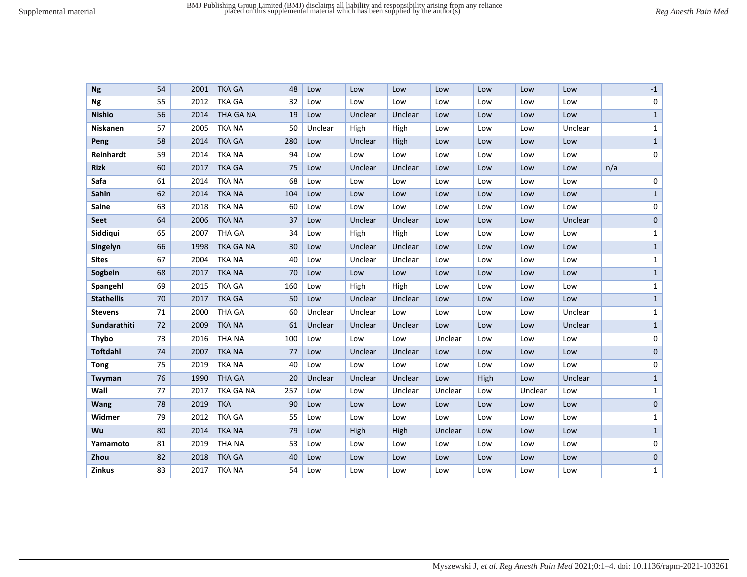| <b>Ng</b>         | 54 | 2001 | <b>TKA GA</b>    | 48  | Low     | Low     | Low     | Low     | Low  | Low     | Low     |     | $-1$         |
|-------------------|----|------|------------------|-----|---------|---------|---------|---------|------|---------|---------|-----|--------------|
| <b>Ng</b>         | 55 | 2012 | <b>TKA GA</b>    | 32  | Low     | Low     | Low     | Low     | Low  | Low     | Low     |     | 0            |
| <b>Nishio</b>     | 56 | 2014 | <b>THA GA NA</b> | 19  | Low     | Unclear | Unclear | Low     | Low  | Low     | Low     |     | $\mathbf{1}$ |
| Niskanen          | 57 | 2005 | <b>TKA NA</b>    | 50  | Unclear | High    | High    | Low     | Low  | Low     | Unclear |     | $\mathbf{1}$ |
| Peng              | 58 | 2014 | <b>TKA GA</b>    | 280 | Low     | Unclear | High    | Low     | Low  | Low     | Low     |     | $\mathbf{1}$ |
| Reinhardt         | 59 | 2014 | <b>TKA NA</b>    | 94  | Low     | Low     | Low     | Low     | Low  | Low     | Low     |     | 0            |
| <b>Rizk</b>       | 60 | 2017 | <b>TKA GA</b>    | 75  | Low     | Unclear | Unclear | Low     | Low  | Low     | Low     | n/a |              |
| Safa              | 61 | 2014 | <b>TKA NA</b>    | 68  | Low     | Low     | Low     | Low     | Low  | Low     | Low     |     | 0            |
| Sahin             | 62 | 2014 | <b>TKA NA</b>    | 104 | Low     | Low     | Low     | Low     | Low  | Low     | Low     |     | $\mathbf{1}$ |
| Saine             | 63 | 2018 | <b>TKA NA</b>    | 60  | Low     | Low     | Low     | Low     | Low  | Low     | Low     |     | 0            |
| Seet              | 64 | 2006 | <b>TKA NA</b>    | 37  | Low     | Unclear | Unclear | Low     | Low  | Low     | Unclear |     | $\pmb{0}$    |
| Siddiqui          | 65 | 2007 | <b>THA GA</b>    | 34  | Low     | High    | High    | Low     | Low  | Low     | Low     |     | $\mathbf{1}$ |
| Singelyn          | 66 | 1998 | TKA GA NA        | 30  | Low     | Unclear | Unclear | Low     | Low  | Low     | Low     |     | $\mathbf{1}$ |
| <b>Sites</b>      | 67 | 2004 | <b>TKA NA</b>    | 40  | Low     | Unclear | Unclear | Low     | Low  | Low     | Low     |     | $\mathbf{1}$ |
| Sogbein           | 68 | 2017 | <b>TKA NA</b>    | 70  | Low     | Low     | Low     | Low     | Low  | Low     | Low     |     | $\mathbf{1}$ |
| Spangehl          | 69 | 2015 | <b>TKA GA</b>    | 160 | Low     | High    | High    | Low     | Low  | Low     | Low     |     | $\mathbf{1}$ |
| <b>Stathellis</b> | 70 | 2017 | <b>TKA GA</b>    | 50  | Low     | Unclear | Unclear | Low     | Low  | Low     | Low     |     | $\mathbf{1}$ |
| <b>Stevens</b>    | 71 | 2000 | <b>THA GA</b>    | 60  | Unclear | Unclear | Low     | Low     | Low  | Low     | Unclear |     | $\mathbf{1}$ |
| Sundarathiti      | 72 | 2009 | <b>TKA NA</b>    | 61  | Unclear | Unclear | Unclear | Low     | Low  | Low     | Unclear |     | $\mathbf{1}$ |
| Thybo             | 73 | 2016 | <b>THA NA</b>    | 100 | Low     | Low     | Low     | Unclear | Low  | Low     | Low     |     | 0            |
| <b>Toftdahl</b>   | 74 | 2007 | <b>TKA NA</b>    | 77  | Low     | Unclear | Unclear | Low     | Low  | Low     | Low     |     | 0            |
| <b>Tong</b>       | 75 | 2019 | <b>TKA NA</b>    | 40  | Low     | Low     | Low     | Low     | Low  | Low     | Low     |     | 0            |
| Twyman            | 76 | 1990 | <b>THA GA</b>    | 20  | Unclear | Unclear | Unclear | Low     | High | Low     | Unclear |     | $\mathbf{1}$ |
| Wall              | 77 | 2017 | TKA GA NA        | 257 | Low     | Low     | Unclear | Unclear | Low  | Unclear | Low     |     | $\mathbf{1}$ |
| Wang              | 78 | 2019 | <b>TKA</b>       | 90  | Low     | Low     | Low     | Low     | Low  | Low     | Low     |     | 0            |
| Widmer            | 79 | 2012 | <b>TKA GA</b>    | 55  | Low     | Low     | Low     | Low     | Low  | Low     | Low     |     | 1            |
| Wu                | 80 | 2014 | <b>TKA NA</b>    | 79  | Low     | High    | High    | Unclear | Low  | Low     | Low     |     | $\mathbf{1}$ |
| Yamamoto          | 81 | 2019 | THA NA           | 53  | Low     | Low     | Low     | Low     | Low  | Low     | Low     |     | 0            |
| Zhou              | 82 | 2018 | <b>TKA GA</b>    | 40  | Low     | Low     | Low     | Low     | Low  | Low     | Low     |     | 0            |
| Zinkus            | 83 | 2017 | <b>TKA NA</b>    | 54  | Low     | Low     | Low     | Low     | Low  | Low     | Low     |     | $\mathbf{1}$ |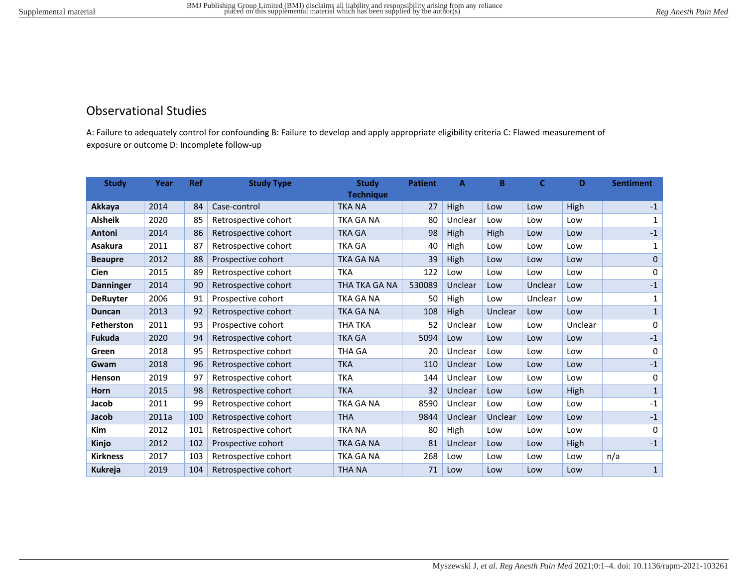# Observational Studies

A: Failure to adequately control for confounding B: Failure to develop and apply appropriate eligibility criteria C: Flawed measurement of exposure or outcome D: Incomplete follow-up

| <b>Study</b>      | Year  | <b>Ref</b> | <b>Study Type</b>    | <b>Study</b>     | <b>Patient</b> | A       | в       | C       | D       | <b>Sentiment</b> |
|-------------------|-------|------------|----------------------|------------------|----------------|---------|---------|---------|---------|------------------|
|                   |       |            |                      | <b>Technique</b> |                |         |         |         |         |                  |
| Akkaya            | 2014  | 84         | Case-control         | <b>TKA NA</b>    | 27             | High    | Low     | Low     | High    | $-1$             |
| <b>Alsheik</b>    | 2020  | 85         | Retrospective cohort | <b>TKA GA NA</b> | 80             | Unclear | Low     | Low     | Low     | $\mathbf{1}$     |
| Antoni            | 2014  | 86         | Retrospective cohort | <b>TKA GA</b>    | 98             | High    | High    | Low     | Low     | $-1$             |
| <b>Asakura</b>    | 2011  | 87         | Retrospective cohort | <b>TKA GA</b>    | 40             | High    | Low     | Low     | Low     | 1                |
| <b>Beaupre</b>    | 2012  | 88         | Prospective cohort   | <b>TKA GA NA</b> | 39             | High    | Low     | Low     | Low     | $\mathbf{0}$     |
| Cien              | 2015  | 89         | Retrospective cohort | <b>TKA</b>       | 122            | Low     | Low     | Low     | Low     | 0                |
| <b>Danninger</b>  | 2014  | 90         | Retrospective cohort | THA TKA GA NA    | 530089         | Unclear | Low     | Unclear | Low     | $\textbf{-1}$    |
| <b>DeRuyter</b>   | 2006  | 91         | Prospective cohort   | <b>TKA GA NA</b> | 50             | High    | Low     | Unclear | Low     | 1                |
| <b>Duncan</b>     | 2013  | 92         | Retrospective cohort | TKA GA NA        | 108            | High    | Unclear | Low     | Low     | $\mathbf{1}$     |
| <b>Fetherston</b> | 2011  | 93         | Prospective cohort   | <b>THA TKA</b>   | 52             | Unclear | Low     | Low     | Unclear | 0                |
| <b>Fukuda</b>     | 2020  | 94         | Retrospective cohort | <b>TKA GA</b>    | 5094           | Low     | Low     | Low     | Low     | $\textbf{-1}$    |
| Green             | 2018  | 95         | Retrospective cohort | THA GA           | 20             | Unclear | Low     | Low     | Low     | 0                |
| Gwam              | 2018  | 96         | Retrospective cohort | <b>TKA</b>       | 110            | Unclear | Low     | Low     | Low     | $-1$             |
| <b>Henson</b>     | 2019  | 97         | Retrospective cohort | <b>TKA</b>       | 144            | Unclear | Low     | Low     | Low     | 0                |
| <b>Horn</b>       | 2015  | 98         | Retrospective cohort | <b>TKA</b>       | 32             | Unclear | Low     | Low     | High    | $\mathbf{1}$     |
| Jacob             | 2011  | 99         | Retrospective cohort | <b>TKA GA NA</b> | 8590           | Unclear | Low     | Low     | Low     | $-1$             |
| Jacob             | 2011a | 100        | Retrospective cohort | <b>THA</b>       | 9844           | Unclear | Unclear | Low     | Low     | $-1$             |
| <b>Kim</b>        | 2012  | 101        | Retrospective cohort | <b>TKA NA</b>    | 80             | High    | Low     | Low     | Low     | $\mathbf 0$      |
| Kinjo             | 2012  | 102        | Prospective cohort   | <b>TKA GA NA</b> | 81             | Unclear | Low     | Low     | High    | $-1$             |
| <b>Kirkness</b>   | 2017  | 103        | Retrospective cohort | TKA GA NA        | 268            | Low     | Low     | Low     | Low     | n/a              |
| <b>Kukreja</b>    | 2019  | 104        | Retrospective cohort | <b>THA NA</b>    | 71             | Low     | Low     | Low     | Low     | $\mathbf{1}$     |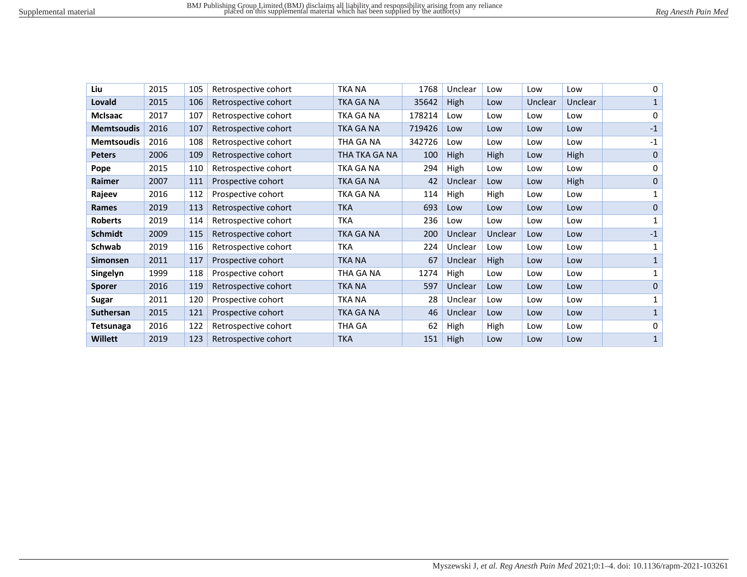| Liu               | 2015 | 105 | Retrospective cohort | <b>TKA NA</b> | 1768   | Unclear | Low     | Low     | Low     | 0            |
|-------------------|------|-----|----------------------|---------------|--------|---------|---------|---------|---------|--------------|
| Lovald            | 2015 | 106 | Retrospective cohort | TKA GA NA     | 35642  | High    | Low     | Unclear | Unclear | 1            |
| <b>McIsaac</b>    | 2017 | 107 | Retrospective cohort | TKA GA NA     | 178214 | Low     | Low     | Low     | Low     | 0            |
| <b>Memtsoudis</b> | 2016 | 107 | Retrospective cohort | TKA GA NA     | 719426 | Low     | Low     | Low     | Low     | $-1$         |
| <b>Memtsoudis</b> | 2016 | 108 | Retrospective cohort | THA GA NA     | 342726 | Low     | Low     | Low     | Low     | $-1$         |
| <b>Peters</b>     | 2006 | 109 | Retrospective cohort | THA TKA GA NA | 100    | High    | High    | Low     | High    | $\mathbf{0}$ |
| Pope              | 2015 | 110 | Retrospective cohort | TKA GA NA     | 294    | High    | Low     | Low     | Low     | 0            |
| Raimer            | 2007 | 111 | Prospective cohort   | TKA GA NA     | 42     | Unclear | Low     | Low     | High    | $\mathbf{0}$ |
| Rajeev            | 2016 | 112 | Prospective cohort   | TKA GA NA     | 114    | High    | High    | Low     | Low     | 1            |
| Rames             | 2019 | 113 | Retrospective cohort | <b>TKA</b>    | 693    | Low     | Low     | Low     | Low     | $\mathbf{0}$ |
| <b>Roberts</b>    | 2019 | 114 | Retrospective cohort | <b>TKA</b>    | 236    | Low     | Low     | Low     | Low     | 1            |
| <b>Schmidt</b>    | 2009 | 115 | Retrospective cohort | TKA GA NA     | 200    | Unclear | Unclear | Low     | Low     | $-1$         |
| <b>Schwab</b>     | 2019 | 116 | Retrospective cohort | <b>TKA</b>    | 224    | Unclear | Low     | Low     | Low     | 1            |
| <b>Simonsen</b>   | 2011 | 117 | Prospective cohort   | <b>TKA NA</b> | 67     | Unclear | High    | Low     | Low     | 1            |
| Singelyn          | 1999 | 118 | Prospective cohort   | THA GA NA     | 1274   | High    | Low     | Low     | Low     | 1            |
| <b>Sporer</b>     | 2016 | 119 | Retrospective cohort | <b>TKA NA</b> | 597    | Unclear | Low     | Low     | Low     | 0            |
| Sugar             | 2011 | 120 | Prospective cohort   | <b>TKA NA</b> | 28     | Unclear | Low     | Low     | Low     | 1            |
| Suthersan         | 2015 | 121 | Prospective cohort   | TKA GA NA     | 46     | Unclear | Low     | Low     | Low     | $\mathbf{1}$ |
| <b>Tetsunaga</b>  | 2016 | 122 | Retrospective cohort | THA GA        | 62     | High    | High    | Low     | Low     | 0            |
| <b>Willett</b>    | 2019 | 123 | Retrospective cohort | <b>TKA</b>    | 151    | High    | Low     | Low     | Low     | $\mathbf{1}$ |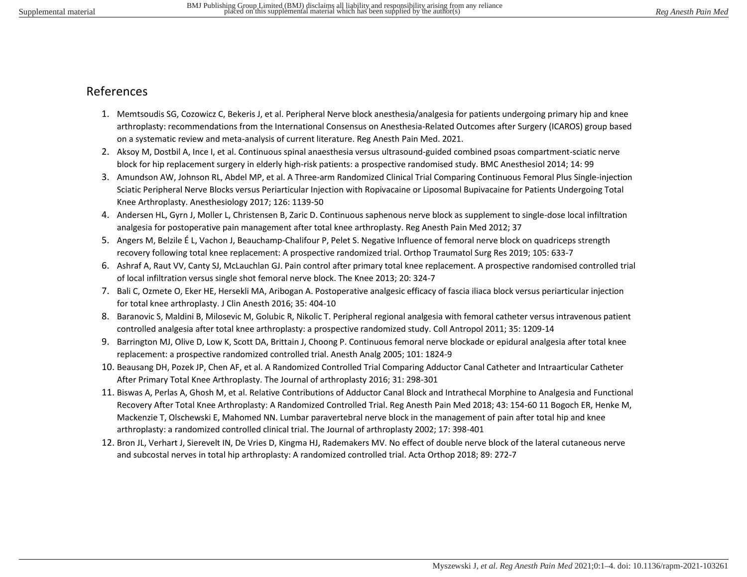# References

- 1. Memtsoudis SG, Cozowicz C, Bekeris J, et al. Peripheral Nerve block anesthesia/analgesia for patients undergoing primary hip and knee arthroplasty: recommendations from the International Consensus on Anesthesia-Related Outcomes after Surgery (ICAROS) group based on a systematic review and meta-analysis of current literature. Reg Anesth Pain Med. 2021.
- 2. Aksoy M, Dostbil A, Ince I, et al. Continuous spinal anaesthesia versus ultrasound-guided combined psoas compartment-sciatic nerve block for hip replacement surgery in elderly high-risk patients: a prospective randomised study. BMC Anesthesiol 2014; 14: 99
- 3. Amundson AW, Johnson RL, Abdel MP, et al. A Three-arm Randomized Clinical Trial Comparing Continuous Femoral Plus Single-injection Sciatic Peripheral Nerve Blocks versus Periarticular Injection with Ropivacaine or Liposomal Bupivacaine for Patients Undergoing Total Knee Arthroplasty. Anesthesiology 2017; 126: 1139-50
- 4. Andersen HL, Gyrn J, Moller L, Christensen B, Zaric D. Continuous saphenous nerve block as supplement to single-dose local infiltration analgesia for postoperative pain management after total knee arthroplasty. Reg Anesth Pain Med 2012; 37
- 5. Angers M, Belzile É L, Vachon J, Beauchamp-Chalifour P, Pelet S. Negative Influence of femoral nerve block on quadriceps strength recovery following total knee replacement: A prospective randomized trial. Orthop Traumatol Surg Res 2019; 105: 633-7
- 6. Ashraf A, Raut VV, Canty SJ, McLauchlan GJ. Pain control after primary total knee replacement. A prospective randomised controlled trial of local infiltration versus single shot femoral nerve block. The Knee 2013; 20: 324-7
- 7. Bali C, Ozmete O, Eker HE, Hersekli MA, Aribogan A. Postoperative analgesic efficacy of fascia iliaca block versus periarticular injection for total knee arthroplasty. J Clin Anesth 2016; 35: 404-10
- 8. Baranovic S, Maldini B, Milosevic M, Golubic R, Nikolic T. Peripheral regional analgesia with femoral catheter versus intravenous patient controlled analgesia after total knee arthroplasty: a prospective randomized study. Coll Antropol 2011; 35: 1209-14
- 9. Barrington MJ, Olive D, Low K, Scott DA, Brittain J, Choong P. Continuous femoral nerve blockade or epidural analgesia after total knee replacement: a prospective randomized controlled trial. Anesth Analg 2005; 101: 1824-9
- 10. Beausang DH, Pozek JP, Chen AF, et al. A Randomized Controlled Trial Comparing Adductor Canal Catheter and Intraarticular Catheter After Primary Total Knee Arthroplasty. The Journal of arthroplasty 2016; 31: 298-301
- 11. Biswas A, Perlas A, Ghosh M, et al. Relative Contributions of Adductor Canal Block and Intrathecal Morphine to Analgesia and Functional Recovery After Total Knee Arthroplasty: A Randomized Controlled Trial. Reg Anesth Pain Med 2018; 43: 154-60 11 Bogoch ER, Henke M, Mackenzie T, Olschewski E, Mahomed NN. Lumbar paravertebral nerve block in the management of pain after total hip and knee arthroplasty: a randomized controlled clinical trial. The Journal of arthroplasty 2002; 17: 398-401
- 12. Bron JL, Verhart J, Sierevelt IN, De Vries D, Kingma HJ, Rademakers MV. No effect of double nerve block of the lateral cutaneous nerve and subcostal nerves in total hip arthroplasty: A randomized controlled trial. Acta Orthop 2018; 89: 272-7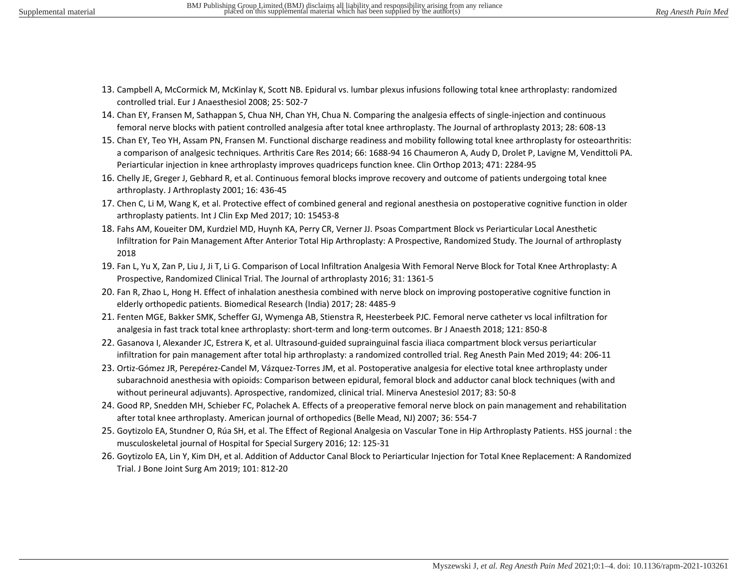- 13. Campbell A, McCormick M, McKinlay K, Scott NB. Epidural vs. lumbar plexus infusions following total knee arthroplasty: randomized controlled trial. Eur J Anaesthesiol 2008; 25: 502-7
- 14. Chan EY, Fransen M, Sathappan S, Chua NH, Chan YH, Chua N. Comparing the analgesia effects of single-injection and continuous femoral nerve blocks with patient controlled analgesia after total knee arthroplasty. The Journal of arthroplasty 2013; 28: 608-13
- 15. Chan EY, Teo YH, Assam PN, Fransen M. Functional discharge readiness and mobility following total knee arthroplasty for osteoarthritis: a comparison of analgesic techniques. Arthritis Care Res 2014; 66: 1688-94 16 Chaumeron A, Audy D, Drolet P, Lavigne M, Vendittoli PA. Periarticular injection in knee arthroplasty improves quadriceps function knee. Clin Orthop 2013; 471: 2284-95
- 16. Chelly JE, Greger J, Gebhard R, et al. Continuous femoral blocks improve recovery and outcome of patients undergoing total knee arthroplasty. J Arthroplasty 2001; 16: 436-45
- 17. Chen C, Li M, Wang K, et al. Protective effect of combined general and regional anesthesia on postoperative cognitive function in older arthroplasty patients. Int J Clin Exp Med 2017; 10: 15453-8
- 18. Fahs AM, Koueiter DM, Kurdziel MD, Huynh KA, Perry CR, Verner JJ. Psoas Compartment Block vs Periarticular Local Anesthetic Infiltration for Pain Management After Anterior Total Hip Arthroplasty: A Prospective, Randomized Study. The Journal of arthroplasty 2018
- 19. Fan L, Yu X, Zan P, Liu J, Ji T, Li G. Comparison of Local Infiltration Analgesia With Femoral Nerve Block for Total Knee Arthroplasty: A Prospective, Randomized Clinical Trial. The Journal of arthroplasty 2016; 31: 1361-5
- 20. Fan R, Zhao L, Hong H. Effect of inhalation anesthesia combined with nerve block on improving postoperative cognitive function in elderly orthopedic patients. Biomedical Research (India) 2017; 28: 4485-9
- 21. Fenten MGE, Bakker SMK, Scheffer GJ, Wymenga AB, Stienstra R, Heesterbeek PJC. Femoral nerve catheter vs local infiltration for analgesia in fast track total knee arthroplasty: short-term and long-term outcomes. Br J Anaesth 2018; 121: 850-8
- 22. Gasanova I, Alexander JC, Estrera K, et al. Ultrasound-guided suprainguinal fascia iliaca compartment block versus periarticular infiltration for pain management after total hip arthroplasty: a randomized controlled trial. Reg Anesth Pain Med 2019; 44: 206-11
- 23. Ortiz-Gómez JR, Perepérez-Candel M, Vázquez-Torres JM, et al. Postoperative analgesia for elective total knee arthroplasty under subarachnoid anesthesia with opioids: Comparison between epidural, femoral block and adductor canal block techniques (with and without perineural adjuvants). Aprospective, randomized, clinical trial. Minerva Anestesiol 2017; 83: 50-8
- 24. Good RP, Snedden MH, Schieber FC, Polachek A. Effects of a preoperative femoral nerve block on pain management and rehabilitation after total knee arthroplasty. American journal of orthopedics (Belle Mead, NJ) 2007; 36: 554-7
- 25. Goytizolo EA, Stundner O, Rúa SH, et al. The Effect of Regional Analgesia on Vascular Tone in Hip Arthroplasty Patients. HSS journal : the musculoskeletal journal of Hospital for Special Surgery 2016; 12: 125-31
- 26. Goytizolo EA, Lin Y, Kim DH, et al. Addition of Adductor Canal Block to Periarticular Injection for Total Knee Replacement: A Randomized Trial. J Bone Joint Surg Am 2019; 101: 812-20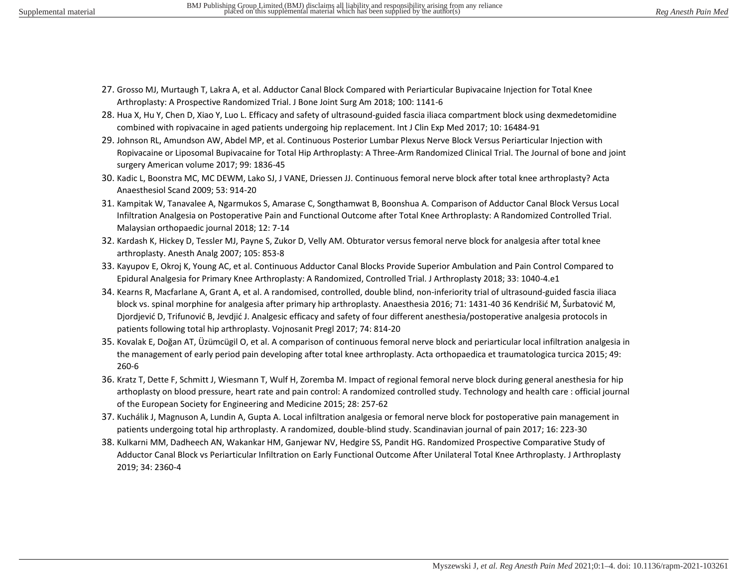- 27. Grosso MJ, Murtaugh T, Lakra A, et al. Adductor Canal Block Compared with Periarticular Bupivacaine Injection for Total Knee Arthroplasty: A Prospective Randomized Trial. J Bone Joint Surg Am 2018; 100: 1141-6
- 28. Hua X, Hu Y, Chen D, Xiao Y, Luo L. Efficacy and safety of ultrasound-guided fascia iliaca compartment block using dexmedetomidine combined with ropivacaine in aged patients undergoing hip replacement. Int J Clin Exp Med 2017; 10: 16484-91
- 29. Johnson RL, Amundson AW, Abdel MP, et al. Continuous Posterior Lumbar Plexus Nerve Block Versus Periarticular Injection with Ropivacaine or Liposomal Bupivacaine for Total Hip Arthroplasty: A Three-Arm Randomized Clinical Trial. The Journal of bone and joint surgery American volume 2017; 99: 1836-45
- 30. Kadic L, Boonstra MC, MC DEWM, Lako SJ, J VANE, Driessen JJ. Continuous femoral nerve block after total knee arthroplasty? Acta Anaesthesiol Scand 2009; 53: 914-20
- 31. Kampitak W, Tanavalee A, Ngarmukos S, Amarase C, Songthamwat B, Boonshua A. Comparison of Adductor Canal Block Versus Local Infiltration Analgesia on Postoperative Pain and Functional Outcome after Total Knee Arthroplasty: A Randomized Controlled Trial. Malaysian orthopaedic journal 2018; 12: 7-14
- 32. Kardash K, Hickey D, Tessler MJ, Payne S, Zukor D, Velly AM. Obturator versus femoral nerve block for analgesia after total knee arthroplasty. Anesth Analg 2007; 105: 853-8
- 33. Kayupov E, Okroj K, Young AC, et al. Continuous Adductor Canal Blocks Provide Superior Ambulation and Pain Control Compared to Epidural Analgesia for Primary Knee Arthroplasty: A Randomized, Controlled Trial. J Arthroplasty 2018; 33: 1040-4.e1
- 34. Kearns R, Macfarlane A, Grant A, et al. A randomised, controlled, double blind, non-inferiority trial of ultrasound-guided fascia iliaca block vs. spinal morphine for analgesia after primary hip arthroplasty. Anaesthesia 2016; 71: 1431-40 36 Kendrišić M, Šurbatović M, Djordjević D, Trifunović B, Jevdjić J. Analgesic efficacy and safety of four different anesthesia/postoperative analgesia protocols in patients following total hip arthroplasty. Vojnosanit Pregl 2017; 74: 814-20
- 35. Kovalak E, Doğan AT, Üzümcügil O, et al. A comparison of continuous femoral nerve block and periarticular local infiltration analgesia in the management of early period pain developing after total knee arthroplasty. Acta orthopaedica et traumatologica turcica 2015; 49: 260-6
- 36. Kratz T, Dette F, Schmitt J, Wiesmann T, Wulf H, Zoremba M. Impact of regional femoral nerve block during general anesthesia for hip arthoplasty on blood pressure, heart rate and pain control: A randomized controlled study. Technology and health care : official journal of the European Society for Engineering and Medicine 2015; 28: 257-62
- 37. Kuchálik J, Magnuson A, Lundin A, Gupta A. Local infiltration analgesia or femoral nerve block for postoperative pain management in patients undergoing total hip arthroplasty. A randomized, double-blind study. Scandinavian journal of pain 2017; 16: 223-30
- 38. Kulkarni MM, Dadheech AN, Wakankar HM, Ganjewar NV, Hedgire SS, Pandit HG. Randomized Prospective Comparative Study of Adductor Canal Block vs Periarticular Infiltration on Early Functional Outcome After Unilateral Total Knee Arthroplasty. J Arthroplasty 2019; 34: 2360-4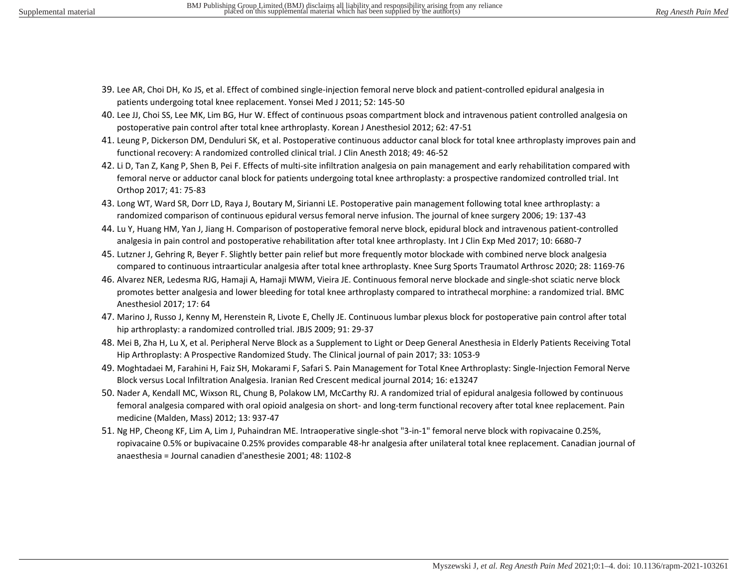- 39. Lee AR, Choi DH, Ko JS, et al. Effect of combined single-injection femoral nerve block and patient-controlled epidural analgesia in patients undergoing total knee replacement. Yonsei Med J 2011; 52: 145-50
- 40. Lee JJ, Choi SS, Lee MK, Lim BG, Hur W. Effect of continuous psoas compartment block and intravenous patient controlled analgesia on postoperative pain control after total knee arthroplasty. Korean J Anesthesiol 2012; 62: 47-51
- 41. Leung P, Dickerson DM, Denduluri SK, et al. Postoperative continuous adductor canal block for total knee arthroplasty improves pain and functional recovery: A randomized controlled clinical trial. J Clin Anesth 2018; 49: 46-52
- 42. Li D, Tan Z, Kang P, Shen B, Pei F. Effects of multi-site infiltration analgesia on pain management and early rehabilitation compared with femoral nerve or adductor canal block for patients undergoing total knee arthroplasty: a prospective randomized controlled trial. Int Orthop 2017; 41: 75-83
- 43. Long WT, Ward SR, Dorr LD, Raya J, Boutary M, Sirianni LE. Postoperative pain management following total knee arthroplasty: a randomized comparison of continuous epidural versus femoral nerve infusion. The journal of knee surgery 2006; 19: 137-43
- 44. Lu Y, Huang HM, Yan J, Jiang H. Comparison of postoperative femoral nerve block, epidural block and intravenous patient-controlled analgesia in pain control and postoperative rehabilitation after total knee arthroplasty. Int J Clin Exp Med 2017; 10: 6680-7
- 45. Lutzner J, Gehring R, Beyer F. Slightly better pain relief but more frequently motor blockade with combined nerve block analgesia compared to continuous intraarticular analgesia after total knee arthroplasty. Knee Surg Sports Traumatol Arthrosc 2020; 28: 1169-76
- 46. Alvarez NER, Ledesma RJG, Hamaji A, Hamaji MWM, Vieira JE. Continuous femoral nerve blockade and single-shot sciatic nerve block promotes better analgesia and lower bleeding for total knee arthroplasty compared to intrathecal morphine: a randomized trial. BMC Anesthesiol 2017; 17: 64
- 47. Marino J, Russo J, Kenny M, Herenstein R, Livote E, Chelly JE. Continuous lumbar plexus block for postoperative pain control after total hip arthroplasty: a randomized controlled trial. JBJS 2009; 91: 29-37
- 48. Mei B, Zha H, Lu X, et al. Peripheral Nerve Block as a Supplement to Light or Deep General Anesthesia in Elderly Patients Receiving Total Hip Arthroplasty: A Prospective Randomized Study. The Clinical journal of pain 2017; 33: 1053-9
- 49. Moghtadaei M, Farahini H, Faiz SH, Mokarami F, Safari S. Pain Management for Total Knee Arthroplasty: Single-Injection Femoral Nerve Block versus Local Infiltration Analgesia. Iranian Red Crescent medical journal 2014; 16: e13247
- 50. Nader A, Kendall MC, Wixson RL, Chung B, Polakow LM, McCarthy RJ. A randomized trial of epidural analgesia followed by continuous femoral analgesia compared with oral opioid analgesia on short- and long-term functional recovery after total knee replacement. Pain medicine (Malden, Mass) 2012; 13: 937-47
- 51. Ng HP, Cheong KF, Lim A, Lim J, Puhaindran ME. Intraoperative single-shot "3-in-1" femoral nerve block with ropivacaine 0.25%, ropivacaine 0.5% or bupivacaine 0.25% provides comparable 48-hr analgesia after unilateral total knee replacement. Canadian journal of anaesthesia = Journal canadien d'anesthesie 2001; 48: 1102-8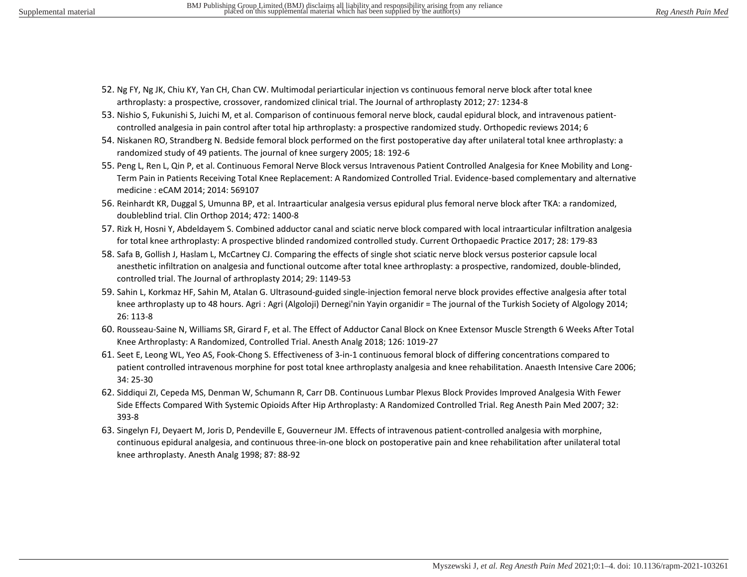- 52. Ng FY, Ng JK, Chiu KY, Yan CH, Chan CW. Multimodal periarticular injection vs continuous femoral nerve block after total knee arthroplasty: a prospective, crossover, randomized clinical trial. The Journal of arthroplasty 2012; 27: 1234-8
- 53. Nishio S, Fukunishi S, Juichi M, et al. Comparison of continuous femoral nerve block, caudal epidural block, and intravenous patientcontrolled analgesia in pain control after total hip arthroplasty: a prospective randomized study. Orthopedic reviews 2014; 6
- 54. Niskanen RO, Strandberg N. Bedside femoral block performed on the first postoperative day after unilateral total knee arthroplasty: a randomized study of 49 patients. The journal of knee surgery 2005; 18: 192-6
- 55. Peng L, Ren L, Qin P, et al. Continuous Femoral Nerve Block versus Intravenous Patient Controlled Analgesia for Knee Mobility and Long-Term Pain in Patients Receiving Total Knee Replacement: A Randomized Controlled Trial. Evidence-based complementary and alternative medicine : eCAM 2014; 2014: 569107
- 56. Reinhardt KR, Duggal S, Umunna BP, et al. Intraarticular analgesia versus epidural plus femoral nerve block after TKA: a randomized, doubleblind trial. Clin Orthop 2014; 472: 1400-8
- 57. Rizk H, Hosni Y, Abdeldayem S. Combined adductor canal and sciatic nerve block compared with local intraarticular infiltration analgesia for total knee arthroplasty: A prospective blinded randomized controlled study. Current Orthopaedic Practice 2017; 28: 179-83
- 58. Safa B, Gollish J, Haslam L, McCartney CJ. Comparing the effects of single shot sciatic nerve block versus posterior capsule local anesthetic infiltration on analgesia and functional outcome after total knee arthroplasty: a prospective, randomized, double-blinded, controlled trial. The Journal of arthroplasty 2014; 29: 1149-53
- 59. Sahin L, Korkmaz HF, Sahin M, Atalan G. Ultrasound-guided single-injection femoral nerve block provides effective analgesia after total knee arthroplasty up to 48 hours. Agri : Agri (Algoloji) Dernegi'nin Yayin organidir = The journal of the Turkish Society of Algology 2014; 26: 113-8
- 60. Rousseau-Saine N, Williams SR, Girard F, et al. The Effect of Adductor Canal Block on Knee Extensor Muscle Strength 6 Weeks After Total Knee Arthroplasty: A Randomized, Controlled Trial. Anesth Analg 2018; 126: 1019-27
- 61. Seet E, Leong WL, Yeo AS, Fook-Chong S. Effectiveness of 3-in-1 continuous femoral block of differing concentrations compared to patient controlled intravenous morphine for post total knee arthroplasty analgesia and knee rehabilitation. Anaesth Intensive Care 2006; 34: 25-30
- 62. Siddiqui ZI, Cepeda MS, Denman W, Schumann R, Carr DB. Continuous Lumbar Plexus Block Provides Improved Analgesia With Fewer Side Effects Compared With Systemic Opioids After Hip Arthroplasty: A Randomized Controlled Trial. Reg Anesth Pain Med 2007; 32: 393-8
- 63. Singelyn FJ, Deyaert M, Joris D, Pendeville E, Gouverneur JM. Effects of intravenous patient-controlled analgesia with morphine, continuous epidural analgesia, and continuous three-in-one block on postoperative pain and knee rehabilitation after unilateral total knee arthroplasty. Anesth Analg 1998; 87: 88-92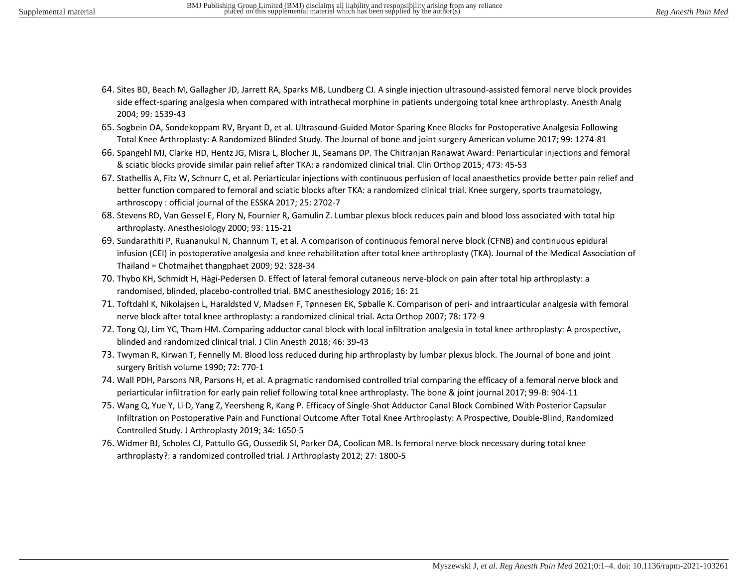- 64. Sites BD, Beach M, Gallagher JD, Jarrett RA, Sparks MB, Lundberg CJ. A single injection ultrasound-assisted femoral nerve block provides side effect-sparing analgesia when compared with intrathecal morphine in patients undergoing total knee arthroplasty. Anesth Analg 2004; 99: 1539-43
- 65. Sogbein OA, Sondekoppam RV, Bryant D, et al. Ultrasound-Guided Motor-Sparing Knee Blocks for Postoperative Analgesia Following Total Knee Arthroplasty: A Randomized Blinded Study. The Journal of bone and joint surgery American volume 2017; 99: 1274-81
- 66. Spangehl MJ, Clarke HD, Hentz JG, Misra L, Blocher JL, Seamans DP. The Chitranjan Ranawat Award: Periarticular injections and femoral & sciatic blocks provide similar pain relief after TKA: a randomized clinical trial. Clin Orthop 2015; 473: 45-53
- 67. Stathellis A, Fitz W, Schnurr C, et al. Periarticular injections with continuous perfusion of local anaesthetics provide better pain relief and better function compared to femoral and sciatic blocks after TKA: a randomized clinical trial. Knee surgery, sports traumatology, arthroscopy : official journal of the ESSKA 2017; 25: 2702-7
- 68. Stevens RD, Van Gessel E, Flory N, Fournier R, Gamulin Z. Lumbar plexus block reduces pain and blood loss associated with total hip arthroplasty. Anesthesiology 2000; 93: 115-21
- 69. Sundarathiti P, Ruananukul N, Channum T, et al. A comparison of continuous femoral nerve block (CFNB) and continuous epidural infusion (CEI) in postoperative analgesia and knee rehabilitation after total knee arthroplasty (TKA). Journal of the Medical Association of Thailand = Chotmaihet thangphaet 2009; 92: 328-34
- 70. Thybo KH, Schmidt H, Hägi-Pedersen D. Effect of lateral femoral cutaneous nerve-block on pain after total hip arthroplasty: a randomised, blinded, placebo-controlled trial. BMC anesthesiology 2016; 16: 21
- 71. Toftdahl K, Nikolajsen L, Haraldsted V, Madsen F, Tønnesen EK, Søballe K. Comparison of peri- and intraarticular analgesia with femoral nerve block after total knee arthroplasty: a randomized clinical trial. Acta Orthop 2007; 78: 172-9
- 72. Tong QJ, Lim YC, Tham HM. Comparing adductor canal block with local infiltration analgesia in total knee arthroplasty: A prospective, blinded and randomized clinical trial. J Clin Anesth 2018; 46: 39-43
- 73. Twyman R, Kirwan T, Fennelly M. Blood loss reduced during hip arthroplasty by lumbar plexus block. The Journal of bone and joint surgery British volume 1990; 72: 770-1
- 74. Wall PDH, Parsons NR, Parsons H, et al. A pragmatic randomised controlled trial comparing the efficacy of a femoral nerve block and periarticular infiltration for early pain relief following total knee arthroplasty. The bone & joint journal 2017; 99-B: 904-11
- 75. Wang Q, Yue Y, Li D, Yang Z, Yeersheng R, Kang P. Efficacy of Single-Shot Adductor Canal Block Combined With Posterior Capsular Infiltration on Postoperative Pain and Functional Outcome After Total Knee Arthroplasty: A Prospective, Double-Blind, Randomized Controlled Study. J Arthroplasty 2019; 34: 1650-5
- 76. Widmer BJ, Scholes CJ, Pattullo GG, Oussedik SI, Parker DA, Coolican MR. Is femoral nerve block necessary during total knee arthroplasty?: a randomized controlled trial. J Arthroplasty 2012; 27: 1800-5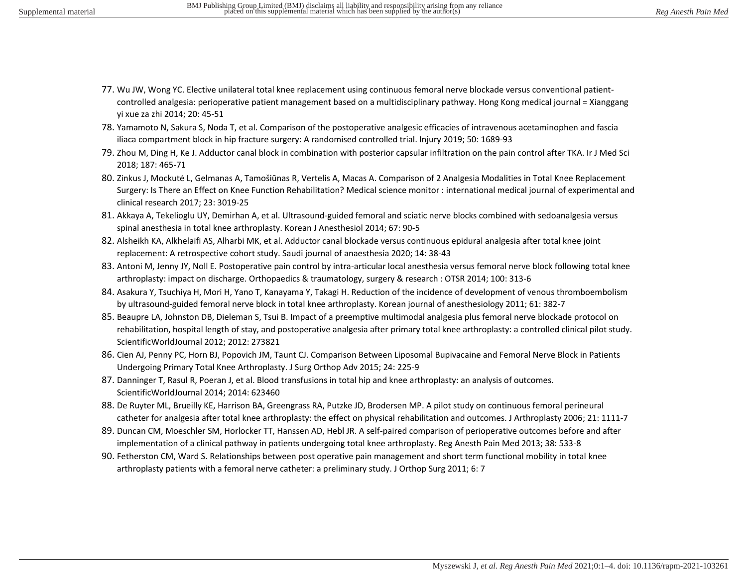- 77. Wu JW, Wong YC. Elective unilateral total knee replacement using continuous femoral nerve blockade versus conventional patientcontrolled analgesia: perioperative patient management based on a multidisciplinary pathway. Hong Kong medical journal = Xianggang yi xue za zhi 2014; 20: 45-51
- 78. Yamamoto N, Sakura S, Noda T, et al. Comparison of the postoperative analgesic efficacies of intravenous acetaminophen and fascia iliaca compartment block in hip fracture surgery: A randomised controlled trial. Injury 2019; 50: 1689-93
- 79. Zhou M, Ding H, Ke J. Adductor canal block in combination with posterior capsular infiltration on the pain control after TKA. Ir J Med Sci 2018; 187: 465-71
- 80. Zinkus J, Mockutė L, Gelmanas A, Tamošiūnas R, Vertelis A, Macas A. Comparison of 2 Analgesia Modalities in Total Knee Replacement Surgery: Is There an Effect on Knee Function Rehabilitation? Medical science monitor : international medical journal of experimental and clinical research 2017; 23: 3019-25
- 81. Akkaya A, Tekelioglu UY, Demirhan A, et al. Ultrasound-guided femoral and sciatic nerve blocks combined with sedoanalgesia versus spinal anesthesia in total knee arthroplasty. Korean J Anesthesiol 2014; 67: 90-5
- 82. Alsheikh KA, Alkhelaifi AS, Alharbi MK, et al. Adductor canal blockade versus continuous epidural analgesia after total knee joint replacement: A retrospective cohort study. Saudi journal of anaesthesia 2020; 14: 38-43
- 83. Antoni M, Jenny JY, Noll E. Postoperative pain control by intra-articular local anesthesia versus femoral nerve block following total knee arthroplasty: impact on discharge. Orthopaedics & traumatology, surgery & research : OTSR 2014; 100: 313-6
- 84. Asakura Y, Tsuchiya H, Mori H, Yano T, Kanayama Y, Takagi H. Reduction of the incidence of development of venous thromboembolism by ultrasound-guided femoral nerve block in total knee arthroplasty. Korean journal of anesthesiology 2011; 61: 382-7
- 85. Beaupre LA, Johnston DB, Dieleman S, Tsui B. Impact of a preemptive multimodal analgesia plus femoral nerve blockade protocol on rehabilitation, hospital length of stay, and postoperative analgesia after primary total knee arthroplasty: a controlled clinical pilot study. ScientificWorldJournal 2012; 2012: 273821
- 86. Cien AJ, Penny PC, Horn BJ, Popovich JM, Taunt CJ. Comparison Between Liposomal Bupivacaine and Femoral Nerve Block in Patients Undergoing Primary Total Knee Arthroplasty. J Surg Orthop Adv 2015; 24: 225-9
- 87. Danninger T, Rasul R, Poeran J, et al. Blood transfusions in total hip and knee arthroplasty: an analysis of outcomes. ScientificWorldJournal 2014; 2014: 623460
- 88. De Ruyter ML, Brueilly KE, Harrison BA, Greengrass RA, Putzke JD, Brodersen MP. A pilot study on continuous femoral perineural catheter for analgesia after total knee arthroplasty: the effect on physical rehabilitation and outcomes. J Arthroplasty 2006; 21: 1111-7
- 89. Duncan CM, Moeschler SM, Horlocker TT, Hanssen AD, Hebl JR. A self-paired comparison of perioperative outcomes before and after implementation of a clinical pathway in patients undergoing total knee arthroplasty. Reg Anesth Pain Med 2013; 38: 533-8
- 90. Fetherston CM, Ward S. Relationships between post operative pain management and short term functional mobility in total knee arthroplasty patients with a femoral nerve catheter: a preliminary study. J Orthop Surg 2011; 6: 7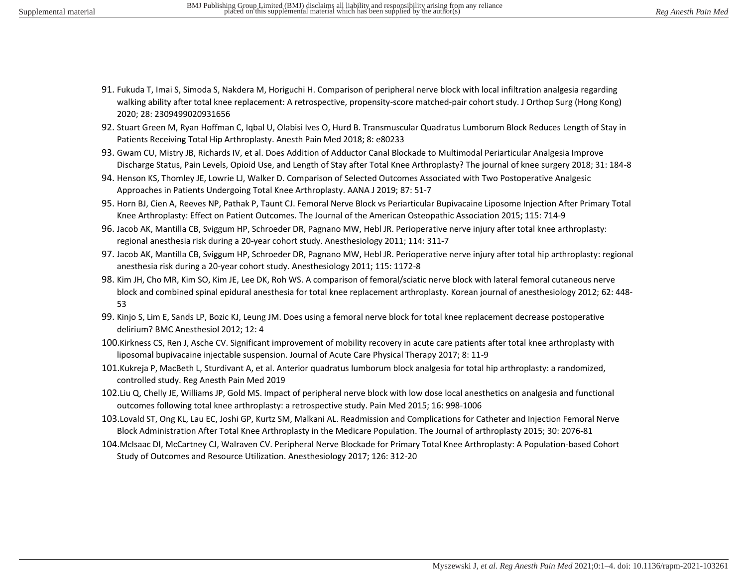- 91. Fukuda T, Imai S, Simoda S, Nakdera M, Horiguchi H. Comparison of peripheral nerve block with local infiltration analgesia regarding walking ability after total knee replacement: A retrospective, propensity-score matched-pair cohort study. J Orthop Surg (Hong Kong) 2020; 28: 2309499020931656
- 92. Stuart Green M, Ryan Hoffman C, Iqbal U, Olabisi Ives O, Hurd B. Transmuscular Quadratus Lumborum Block Reduces Length of Stay in Patients Receiving Total Hip Arthroplasty. Anesth Pain Med 2018; 8: e80233
- 93. Gwam CU, Mistry JB, Richards IV, et al. Does Addition of Adductor Canal Blockade to Multimodal Periarticular Analgesia Improve Discharge Status, Pain Levels, Opioid Use, and Length of Stay after Total Knee Arthroplasty? The journal of knee surgery 2018; 31: 184-8
- 94. Henson KS, Thomley JE, Lowrie LJ, Walker D. Comparison of Selected Outcomes Associated with Two Postoperative Analgesic Approaches in Patients Undergoing Total Knee Arthroplasty. AANA J 2019; 87: 51-7
- 95. Horn BJ, Cien A, Reeves NP, Pathak P, Taunt CJ. Femoral Nerve Block vs Periarticular Bupivacaine Liposome Injection After Primary Total Knee Arthroplasty: Effect on Patient Outcomes. The Journal of the American Osteopathic Association 2015; 115: 714-9
- 96. Jacob AK, Mantilla CB, Sviggum HP, Schroeder DR, Pagnano MW, Hebl JR. Perioperative nerve injury after total knee arthroplasty: regional anesthesia risk during a 20-year cohort study. Anesthesiology 2011; 114: 311-7
- 97. Jacob AK, Mantilla CB, Sviggum HP, Schroeder DR, Pagnano MW, Hebl JR. Perioperative nerve injury after total hip arthroplasty: regional anesthesia risk during a 20-year cohort study. Anesthesiology 2011; 115: 1172-8
- 98. Kim JH, Cho MR, Kim SO, Kim JE, Lee DK, Roh WS. A comparison of femoral/sciatic nerve block with lateral femoral cutaneous nerve block and combined spinal epidural anesthesia for total knee replacement arthroplasty. Korean journal of anesthesiology 2012; 62: 448- 53
- 99. Kinjo S, Lim E, Sands LP, Bozic KJ, Leung JM. Does using a femoral nerve block for total knee replacement decrease postoperative delirium? BMC Anesthesiol 2012; 12: 4
- 100.Kirkness CS, Ren J, Asche CV. Significant improvement of mobility recovery in acute care patients after total knee arthroplasty with liposomal bupivacaine injectable suspension. Journal of Acute Care Physical Therapy 2017; 8: 11-9
- 101.Kukreja P, MacBeth L, Sturdivant A, et al. Anterior quadratus lumborum block analgesia for total hip arthroplasty: a randomized, controlled study. Reg Anesth Pain Med 2019
- 102.Liu Q, Chelly JE, Williams JP, Gold MS. Impact of peripheral nerve block with low dose local anesthetics on analgesia and functional outcomes following total knee arthroplasty: a retrospective study. Pain Med 2015; 16: 998-1006
- 103.Lovald ST, Ong KL, Lau EC, Joshi GP, Kurtz SM, Malkani AL. Readmission and Complications for Catheter and Injection Femoral Nerve Block Administration After Total Knee Arthroplasty in the Medicare Population. The Journal of arthroplasty 2015; 30: 2076-81
- 104.McIsaac DI, McCartney CJ, Walraven CV. Peripheral Nerve Blockade for Primary Total Knee Arthroplasty: A Population-based Cohort Study of Outcomes and Resource Utilization. Anesthesiology 2017; 126: 312-20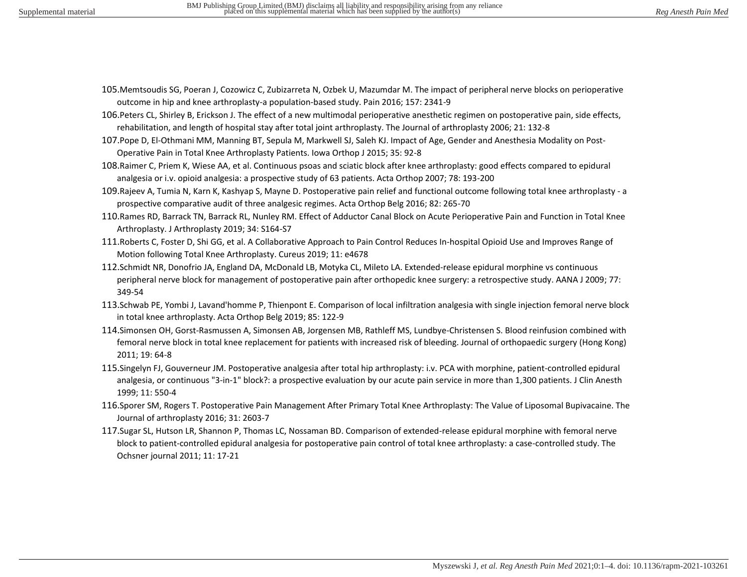- 105.Memtsoudis SG, Poeran J, Cozowicz C, Zubizarreta N, Ozbek U, Mazumdar M. The impact of peripheral nerve blocks on perioperative outcome in hip and knee arthroplasty-a population-based study. Pain 2016; 157: 2341-9
- 106.Peters CL, Shirley B, Erickson J. The effect of a new multimodal perioperative anesthetic regimen on postoperative pain, side effects, rehabilitation, and length of hospital stay after total joint arthroplasty. The Journal of arthroplasty 2006; 21: 132-8
- 107.Pope D, El-Othmani MM, Manning BT, Sepula M, Markwell SJ, Saleh KJ. Impact of Age, Gender and Anesthesia Modality on Post-Operative Pain in Total Knee Arthroplasty Patients. Iowa Orthop J 2015; 35: 92-8
- 108.Raimer C, Priem K, Wiese AA, et al. Continuous psoas and sciatic block after knee arthroplasty: good effects compared to epidural analgesia or i.v. opioid analgesia: a prospective study of 63 patients. Acta Orthop 2007; 78: 193-200
- 109.Rajeev A, Tumia N, Karn K, Kashyap S, Mayne D. Postoperative pain relief and functional outcome following total knee arthroplasty a prospective comparative audit of three analgesic regimes. Acta Orthop Belg 2016; 82: 265-70
- 110.Rames RD, Barrack TN, Barrack RL, Nunley RM. Effect of Adductor Canal Block on Acute Perioperative Pain and Function in Total Knee Arthroplasty. J Arthroplasty 2019; 34: S164-S7
- 111.Roberts C, Foster D, Shi GG, et al. A Collaborative Approach to Pain Control Reduces In-hospital Opioid Use and Improves Range of Motion following Total Knee Arthroplasty. Cureus 2019; 11: e4678
- 112.Schmidt NR, Donofrio JA, England DA, McDonald LB, Motyka CL, Mileto LA. Extended-release epidural morphine vs continuous peripheral nerve block for management of postoperative pain after orthopedic knee surgery: a retrospective study. AANA J 2009; 77: 349-54
- 113.Schwab PE, Yombi J, Lavand'homme P, Thienpont E. Comparison of local infiltration analgesia with single injection femoral nerve block in total knee arthroplasty. Acta Orthop Belg 2019; 85: 122-9
- 114.Simonsen OH, Gorst-Rasmussen A, Simonsen AB, Jorgensen MB, Rathleff MS, Lundbye-Christensen S. Blood reinfusion combined with femoral nerve block in total knee replacement for patients with increased risk of bleeding. Journal of orthopaedic surgery (Hong Kong) 2011; 19: 64-8
- 115.Singelyn FJ, Gouverneur JM. Postoperative analgesia after total hip arthroplasty: i.v. PCA with morphine, patient-controlled epidural analgesia, or continuous "3-in-1" block?: a prospective evaluation by our acute pain service in more than 1,300 patients. J Clin Anesth 1999; 11: 550-4
- 116.Sporer SM, Rogers T. Postoperative Pain Management After Primary Total Knee Arthroplasty: The Value of Liposomal Bupivacaine. The Journal of arthroplasty 2016; 31: 2603-7
- 117.Sugar SL, Hutson LR, Shannon P, Thomas LC, Nossaman BD. Comparison of extended-release epidural morphine with femoral nerve block to patient-controlled epidural analgesia for postoperative pain control of total knee arthroplasty: a case-controlled study. The Ochsner journal 2011; 11: 17-21